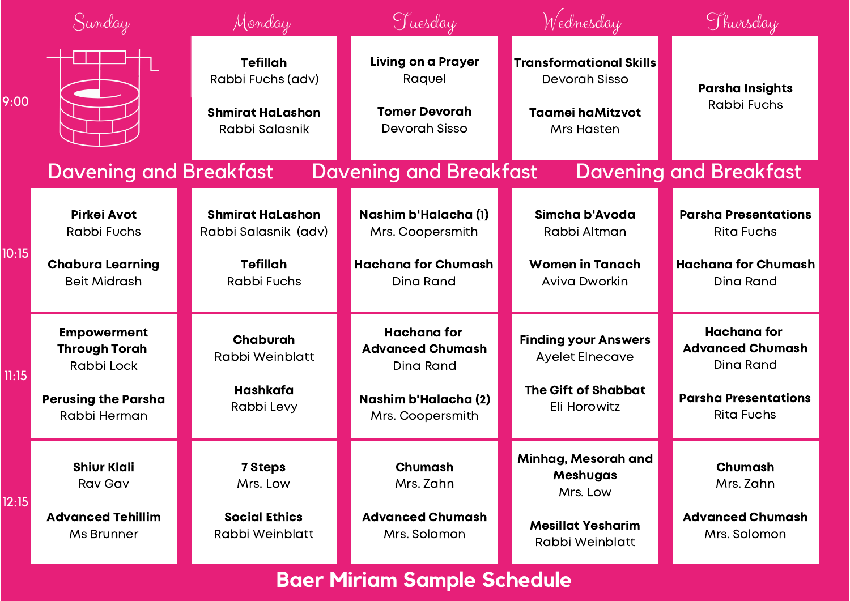|       | Sunday                                                   | Monday                                                                            | Tuesday                                                                      | Wednesday                                                                                       | Thursday                                                   |
|-------|----------------------------------------------------------|-----------------------------------------------------------------------------------|------------------------------------------------------------------------------|-------------------------------------------------------------------------------------------------|------------------------------------------------------------|
| 9:00  |                                                          | <b>Tefillah</b><br>Rabbi Fuchs (adv)<br><b>Shmirat HaLashon</b><br>Rabbi Salasnik | <b>Living on a Prayer</b><br>Raquel<br><b>Tomer Devorah</b><br>Devorah Sisso | <b>Transformational Skills</b><br>Devorah Sisso<br><b>Taamei haMitzvot</b><br><b>Mrs Hasten</b> | <b>Parsha Insights</b><br>Rabbi Fuchs                      |
|       | <b>Davening and Breakfast</b>                            |                                                                                   | <b>Davening and Breakfast</b>                                                |                                                                                                 | <b>Davening and Breakfast</b>                              |
| 10:15 | Pirkei Avot<br><b>Rabbi Fuchs</b>                        | <b>Shmirat HaLashon</b><br>Rabbi Salasnik (adv)                                   | Nashim b'Halacha (1)<br>Mrs. Coopersmith                                     | Simcha b'Avoda<br>Rabbi Altman                                                                  | <b>Parsha Presentations</b><br><b>Rita Fuchs</b>           |
|       | <b>Chabura Learning</b><br><b>Beit Midrash</b>           | <b>Tefillah</b><br><b>Rabbi Fuchs</b>                                             | <b>Hachana for Chumash</b><br>Dina Rand                                      | <b>Women in Tanach</b><br><b>Aviva Dworkin</b>                                                  | <b>Hachana for Chumash</b><br><b>Dina Rand</b>             |
| 11:15 | <b>Empowerment</b><br><b>Through Torah</b><br>Rabbi Lock | Chaburah<br>Rabbi Weinblatt                                                       | <b>Hachana for</b><br><b>Advanced Chumash</b><br>Dina Rand                   | <b>Finding your Answers</b><br>Ayelet Elnecave                                                  | <b>Hachana for</b><br><b>Advanced Chumash</b><br>Dina Rand |
|       | <b>Perusing the Parsha</b><br>Rabbi Herman               | Hashkafa<br>Rabbi Levy                                                            | Nashim b'Halacha (2)<br>Mrs. Coopersmith                                     | <b>The Gift of Shabbat</b><br>Eli Horowitz                                                      | <b>Parsha Presentations</b><br><b>Rita Fuchs</b>           |
| 12:15 | <b>Shiur Klali</b><br><b>Rav Gav</b>                     | <b>7 Steps</b><br>Mrs. Low                                                        | Chumash<br>Mrs. Zahn                                                         | Minhag, Mesorah and<br><b>Meshugas</b><br>Mrs. Low                                              | Chumash<br>Mrs. Zahn                                       |
|       | <b>Advanced Tehillim</b><br>Ms Brunner                   | <b>Social Ethics</b><br>Rabbi Weinblatt                                           | <b>Advanced Chumash</b><br>Mrs. Solomon                                      | <b>Mesillat Yesharim</b><br>Rabbi Weinblatt                                                     | <b>Advanced Chumash</b><br>Mrs. Solomon                    |

## **Baer Miriam Sample Schedule**